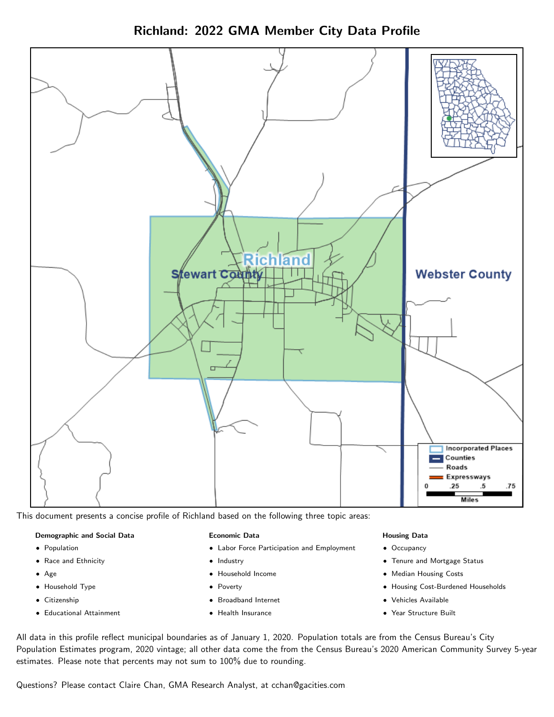



This document presents a concise profile of Richland based on the following three topic areas:

#### Demographic and Social Data

- **•** Population
- Race and Ethnicity
- Age
- Household Type
- **Citizenship**
- Educational Attainment

#### Economic Data

- Labor Force Participation and Employment
- Industry
- Household Income
- Poverty
- Broadband Internet
- Health Insurance

#### Housing Data

- Occupancy
- Tenure and Mortgage Status
- Median Housing Costs
- Housing Cost-Burdened Households
- Vehicles Available
- Year Structure Built

All data in this profile reflect municipal boundaries as of January 1, 2020. Population totals are from the Census Bureau's City Population Estimates program, 2020 vintage; all other data come the from the Census Bureau's 2020 American Community Survey 5-year estimates. Please note that percents may not sum to 100% due to rounding.

Questions? Please contact Claire Chan, GMA Research Analyst, at [cchan@gacities.com.](mailto:cchan@gacities.com)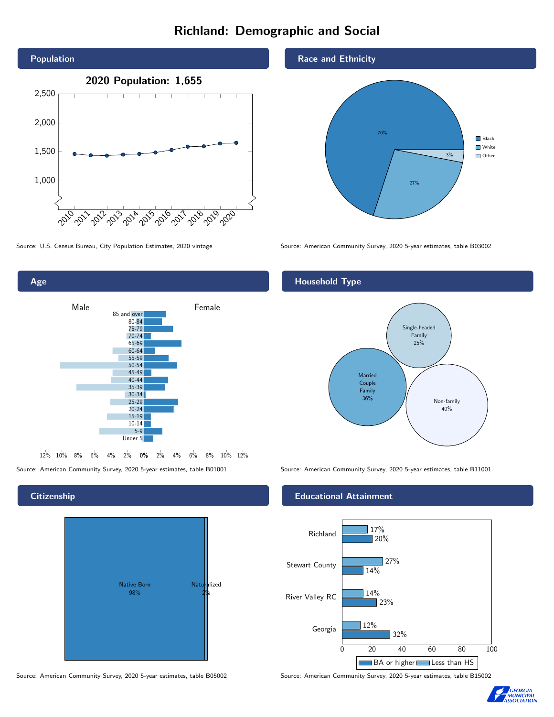## Richland: Demographic and Social



Age



Source: American Community Survey, 2020 5-year estimates, table B01001 Source: American Community Survey, 2020 5-year estimates, table B11001

#### **Citizenship**



Source: American Community Survey, 2020 5-year estimates, table B05002 Source: American Community Survey, 2020 5-year estimates, table B15002

#### Race and Ethnicity



Source: U.S. Census Bureau, City Population Estimates, 2020 vintage Source: American Community Survey, 2020 5-year estimates, table B03002

#### Household Type



#### Educational Attainment



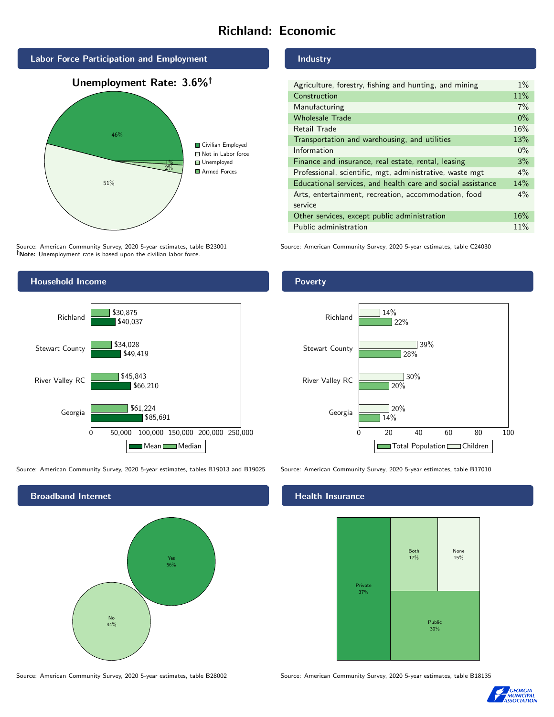## Richland: Economic



Source: American Community Survey, 2020 5-year estimates, table B23001 Note: Unemployment rate is based upon the civilian labor force.

#### Industry

| Agriculture, forestry, fishing and hunting, and mining      | $1\%$ |
|-------------------------------------------------------------|-------|
| Construction                                                | 11%   |
| Manufacturing                                               | 7%    |
| <b>Wholesale Trade</b>                                      | $0\%$ |
| Retail Trade                                                | 16%   |
| Transportation and warehousing, and utilities               | 13%   |
| Information                                                 | $0\%$ |
| Finance and insurance, real estate, rental, leasing         | 3%    |
| Professional, scientific, mgt, administrative, waste mgt    | $4\%$ |
| Educational services, and health care and social assistance | 14%   |
| Arts, entertainment, recreation, accommodation, food        | $4\%$ |
| service                                                     |       |
| Other services, except public administration                | 16%   |
| Public administration                                       | 11%   |

Source: American Community Survey, 2020 5-year estimates, table C24030



Source: American Community Survey, 2020 5-year estimates, tables B19013 and B19025 Source: American Community Survey, 2020 5-year estimates, table B17010

Broadband Internet No 44% Yes 56%

Poverty



#### Health Insurance



Source: American Community Survey, 2020 5-year estimates, table B28002 Source: American Community Survey, 2020 5-year estimates, table B18135